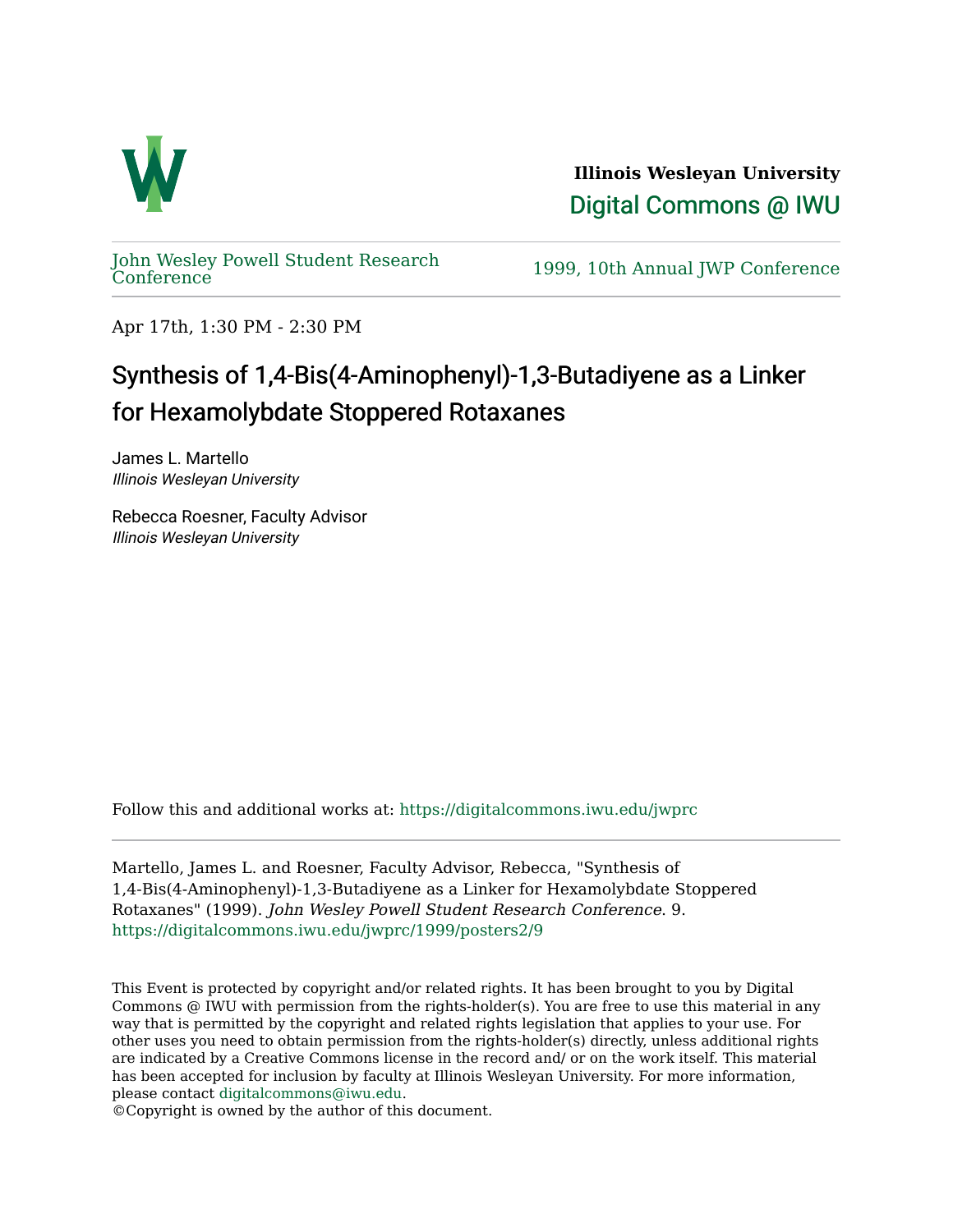

**Illinois Wesleyan University**  [Digital Commons @ IWU](https://digitalcommons.iwu.edu/) 

[John Wesley Powell Student Research](https://digitalcommons.iwu.edu/jwprc) 

1999, 10th Annual JWP [Conference](https://digitalcommons.iwu.edu/jwprc)

Apr 17th, 1:30 PM - 2:30 PM

## Synthesis of 1,4-Bis(4-Aminophenyl)-1,3-Butadiyene as a Linker for Hexamolybdate Stoppered Rotaxanes

James L. Martello Illinois Wesleyan University

Rebecca Roesner, Faculty Advisor Illinois Wesleyan University

Follow this and additional works at: [https://digitalcommons.iwu.edu/jwprc](https://digitalcommons.iwu.edu/jwprc?utm_source=digitalcommons.iwu.edu%2Fjwprc%2F1999%2Fposters2%2F9&utm_medium=PDF&utm_campaign=PDFCoverPages) 

Martello, James L. and Roesner, Faculty Advisor, Rebecca, "Synthesis of 1,4-Bis(4-Aminophenyl)-1,3-Butadiyene as a Linker for Hexamolybdate Stoppered Rotaxanes" (1999). John Wesley Powell Student Research Conference. 9. [https://digitalcommons.iwu.edu/jwprc/1999/posters2/9](https://digitalcommons.iwu.edu/jwprc/1999/posters2/9?utm_source=digitalcommons.iwu.edu%2Fjwprc%2F1999%2Fposters2%2F9&utm_medium=PDF&utm_campaign=PDFCoverPages)

This Event is protected by copyright and/or related rights. It has been brought to you by Digital Commons @ IWU with permission from the rights-holder(s). You are free to use this material in any way that is permitted by the copyright and related rights legislation that applies to your use. For other uses you need to obtain permission from the rights-holder(s) directly, unless additional rights are indicated by a Creative Commons license in the record and/ or on the work itself. This material has been accepted for inclusion by faculty at Illinois Wesleyan University. For more information, please contact [digitalcommons@iwu.edu.](mailto:digitalcommons@iwu.edu)

©Copyright is owned by the author of this document.